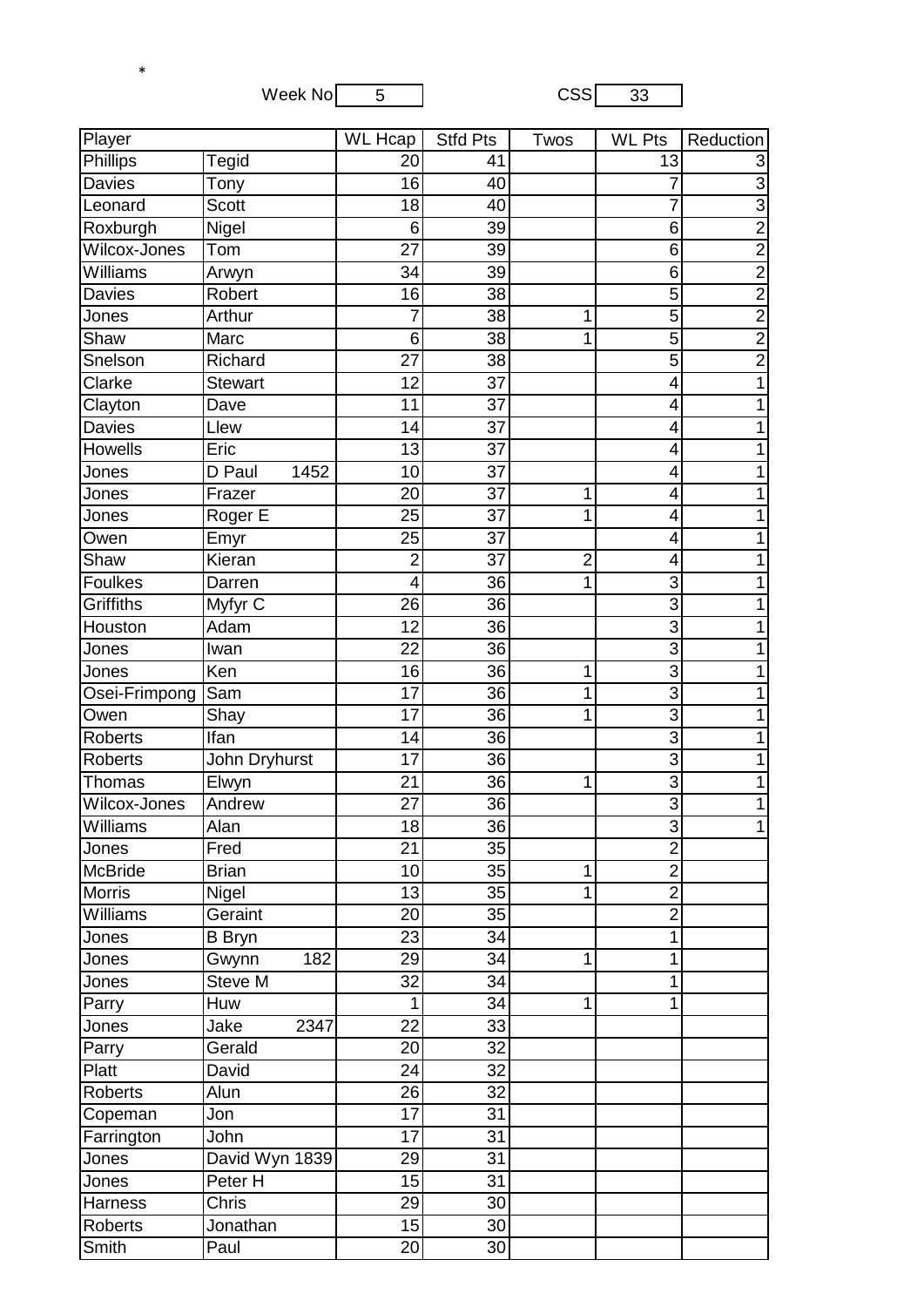Week  $No \overline{5}$  CSS  $33$ 

\*

| Player          |                | $\overline{\text{WL}}$ Hcap | <b>Stfd Pts</b> | Twos           | <b>WL Pts</b>   | Reduction      |
|-----------------|----------------|-----------------------------|-----------------|----------------|-----------------|----------------|
| <b>Phillips</b> | <b>Tegid</b>   | 20                          | 41              |                | $\overline{13}$ | 3              |
| <b>Davies</b>   | Tony           | 16                          | 40              |                | 7               | $\overline{3}$ |
| Leonard         | <b>Scott</b>   | 18                          | 40              |                | 7               | $\overline{3}$ |
| Roxburgh        | Nigel          | 6                           | 39              |                | 6               | $\overline{2}$ |
| Wilcox-Jones    | Tom            | 27                          | 39              |                | 6               | $\overline{2}$ |
| Williams        | Arwyn          | 34                          | 39              |                | 6               | $\overline{2}$ |
| Davies          | Robert         | 16                          | 38              |                | 5               |                |
| Jones           | Arthur         | $\overline{7}$              | $\overline{38}$ | 1              | $\overline{5}$  | $\frac{2}{2}$  |
| Shaw            | Marc           | 6                           | 38              | 1              | $\overline{5}$  | $\overline{2}$ |
| Snelson         | Richard        | 27                          | 38              |                | $\overline{5}$  | $\overline{2}$ |
| Clarke          | <b>Stewart</b> | 12                          | 37              |                | 4               | 1              |
| Clayton         | Dave           | 11                          | 37              |                | 4               |                |
| <b>Davies</b>   | Llew           | 14                          | 37              |                | 4               |                |
| <b>Howells</b>  | Eric           | 13                          | 37              |                | 4               |                |
| Jones           | D Paul<br>1452 | 10                          | 37              |                | 4               | 1              |
| Jones           | Frazer         | 20                          | 37              | 1              | 4               |                |
| Jones           | Roger E        | 25                          | 37              | 1              | 4               |                |
| Owen            | Emyr           | 25                          | $\overline{37}$ |                | 4               |                |
| Shaw            | Kieran         | $\overline{c}$              | 37              | $\overline{c}$ | 4               |                |
| <b>Foulkes</b>  | Darren         | 4                           | 36              | 1              | 3               |                |
| Griffiths       | Myfyr C        | 26                          | $\overline{36}$ |                | 3               |                |
| Houston         | Adam           | 12                          | $\overline{36}$ |                | $\overline{3}$  |                |
| Jones           | Iwan           | 22                          | $\overline{36}$ |                | 3               | 1              |
| Jones           | Ken            | 16                          | 36              | 1              | $\overline{3}$  |                |
| Osei-Frimpong   | Sam            | 17                          | 36              | 1              | 3               |                |
| Owen            | Shay           | 17                          | 36              | 1              | 3               |                |
| <b>Roberts</b>  | <b>Ifan</b>    | 14                          | $\overline{36}$ |                | 3               |                |
| <b>Roberts</b>  | John Dryhurst  | 17                          | 36              |                | 3               | 1              |
| Thomas          | Elwyn          | 21                          | $\overline{36}$ | 1              | $\overline{3}$  | 1              |
| Wilcox-Jones    | Andrew         | 27                          | 36              |                | $\overline{3}$  | 1              |
| Williams        | Alan           | 18                          | 36              |                | $\mathbf{3}$    | 1              |
| Jones           | Fred           | 21                          | 35              |                | $\overline{2}$  |                |
| McBride         | <b>Brian</b>   | 10                          | 35              | 1              | $\overline{2}$  |                |
| <b>Morris</b>   | Nigel          | 13                          | $\overline{35}$ | 1              | $\overline{2}$  |                |
| Williams        | Geraint        | 20                          | 35              |                | $\overline{2}$  |                |
| Jones           | <b>B</b> Bryn  | 23                          | 34              |                | 1               |                |
| Jones           | 182<br>Gwynn   | 29                          | 34              | 1              | 1               |                |
| Jones           | Steve M        | 32                          | 34              |                | 1               |                |
| Parry           | Huw            | 1                           | 34              | 1              | 1               |                |
| Jones           | 2347<br>Jake   | 22                          | 33              |                |                 |                |
| Parry           | Gerald         | 20                          | $\overline{32}$ |                |                 |                |
| Platt           | David          | 24                          | $\overline{32}$ |                |                 |                |
| <b>Roberts</b>  | Alun           | 26                          | 32              |                |                 |                |
| Copeman         | Jon            | 17                          | 31              |                |                 |                |
| Farrington      | John           | 17                          | 31              |                |                 |                |
| Jones           | David Wyn 1839 | 29                          | 31              |                |                 |                |
| Jones           | Peter H        | 15                          | 31              |                |                 |                |
| <b>Harness</b>  | Chris          | 29                          | 30              |                |                 |                |
| <b>Roberts</b>  | Jonathan       | 15                          | 30              |                |                 |                |
| Smith           | Paul           | 20                          | 30              |                |                 |                |